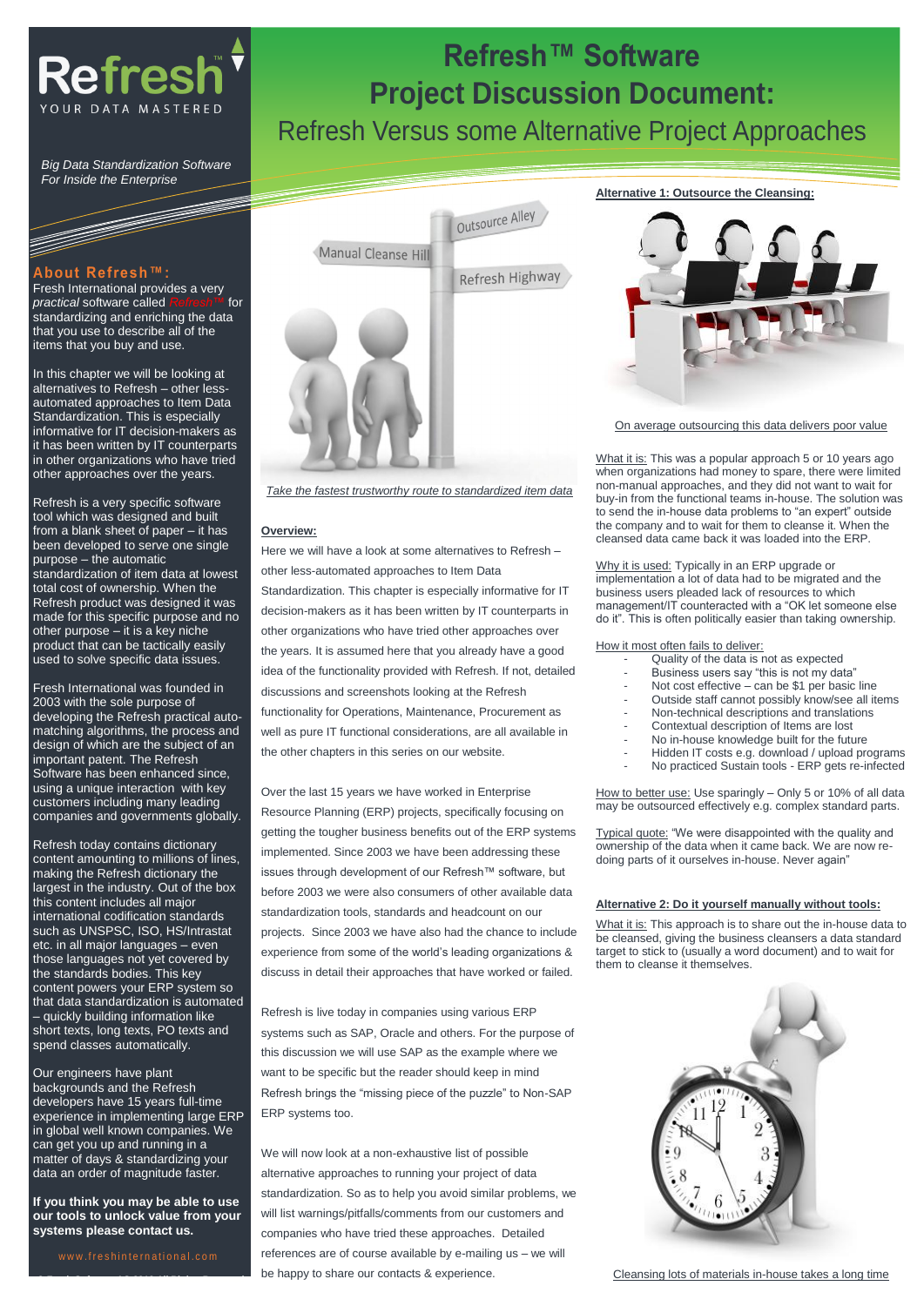

*Big Data Standardization Software For Inside the Enterprise*

#### **About Refresh™:**

Fresh International provides a very<br>*practical* software called *Refresh™* for *practical* software called standardizing and enriching the data that you use to describe all of the items that you buy and use.

In this chapter we will be looking at alternatives to Refresh – other lessautomated approaches to Item Data Standardization. This is especially informative for IT decision-makers as it has been written by IT counterparts in other organizations who have tried other approaches over the years.

Refresh is a very specific software tool which was designed and built from a blank sheet of paper – it has been developed to serve one single purpose – the automatic standardization of item data at lowest total cost of ownership. When the Refresh product was designed it was made for this specific purpose and no other purpose – it is a key niche product that can be tactically easily used to solve specific data issues.

Fresh International was founded in 2003 with the sole purpose of developing the Refresh practical automatching algorithms, the process and design of which are the subject of an important patent. The Refresh Software has been enhanced since, using a unique interaction with key customers including many leading companies and governments globally.

Refresh today contains dictionary content amounting to millions of lines, making the Refresh dictionary the largest in the industry. Out of the box this content includes all major international codification standards such as UNSPSC, ISO, HS/Intrastat etc. in all major languages – even those languages not yet covered by the standards bodies. This key content powers your ERP system so that data standardization is automated – quickly building information like short texts, long texts, PO texts and spend classes automatically.

Our engineers have plant backgrounds and the Refresh developers have 15 years full-time experience in implementing large ERP in global well known companies. We can get you up and running in a matter of days & standardizing your data an order of magnitude faster.

**If you think you may be able to use our tools to unlock value from your systems please contact us.**

**© Fresh Software AG 2013 All Rights Reserved**



*Take the fastest trustworthy route to standardized item data* 

#### **Overview:**

Here we will have a look at some alternatives to Refresh – other less-automated approaches to Item Data Standardization. This chapter is especially informative for IT decision-makers as it has been written by IT counterparts in other organizations who have tried other approaches over the years. It is assumed here that you already have a good idea of the functionality provided with Refresh. If not, detailed discussions and screenshots looking at the Refresh functionality for Operations, Maintenance, Procurement as well as pure IT functional considerations, are all available in the other chapters in this series on our website.

Over the last 15 years we have worked in Enterprise Resource Planning (ERP) projects, specifically focusing on getting the tougher business benefits out of the ERP systems implemented. Since 2003 we have been addressing these issues through development of our Refresh™ software, but before 2003 we were also consumers of other available data standardization tools, standards and headcount on our projects. Since 2003 we have also had the chance to include experience from some of the world's leading organizations & discuss in detail their approaches that have worked or failed.

Refresh is live today in companies using various ERP systems such as SAP, Oracle and others. For the purpose of this discussion we will use SAP as the example where we want to be specific but the reader should keep in mind Refresh brings the "missing piece of the puzzle" to Non-SAP ERP systems too.

We will now look at a non-exhaustive list of possible alternative approaches to running your project of data standardization. So as to help you avoid similar problems, we will list warnings/pitfalls/comments from our customers and companies who have tried these approaches. Detailed references are of course available by e-mailing us – we will be happy to share our contacts & experience.

#### **Alternative 1: Outsource the Cleansing:**

**Refresh™ Software**

**Project Discussion Document:**

Refresh Versus some Alternative Project Approaches



On average outsourcing this data delivers poor value

What it is: This was a popular approach 5 or 10 years ago when organizations had money to spare, there were limited non-manual approaches, and they did not want to wait for buy-in from the functional teams in-house. The solution was to send the in-house data problems to "an expert" outside the company and to wait for them to cleanse it. When the cleansed data came back it was loaded into the ERP.

Why it is used: Typically in an ERP upgrade or implementation a lot of data had to be migrated and the business users pleaded lack of resources to which management/IT counteracted with a "OK let someone else do it". This is often politically easier than taking ownership.

#### How it most often fails to deliver:

- Quality of the data is not as expected
- Business users say "this is not my data"
- Not cost effective  $-$  can be \$1 per basic line
- Outside staff cannot possibly know/see all items
	- Non-technical descriptions and translations
	- Contextual description of Items are lost
	- No in-house knowledge built for the future
	- Hidden IT costs e.g. download / upload programs
	- No practiced Sustain tools ERP gets re-infected

How to better use: Use sparingly – Only 5 or 10% of all data may be outsourced effectively e.g. complex standard parts.

Typical quote: "We were disappointed with the quality and ownership of the data when it came back. We are now redoing parts of it ourselves in-house. Never again"

#### **Alternative 2: Do it yourself manually without tools:**

What it is: This approach is to share out the in-house data to be cleansed, giving the business cleansers a data standard target to stick to (usually a word document) and to wait for them to cleanse it themselves.



Cleansing lots of materials in-house takes a long time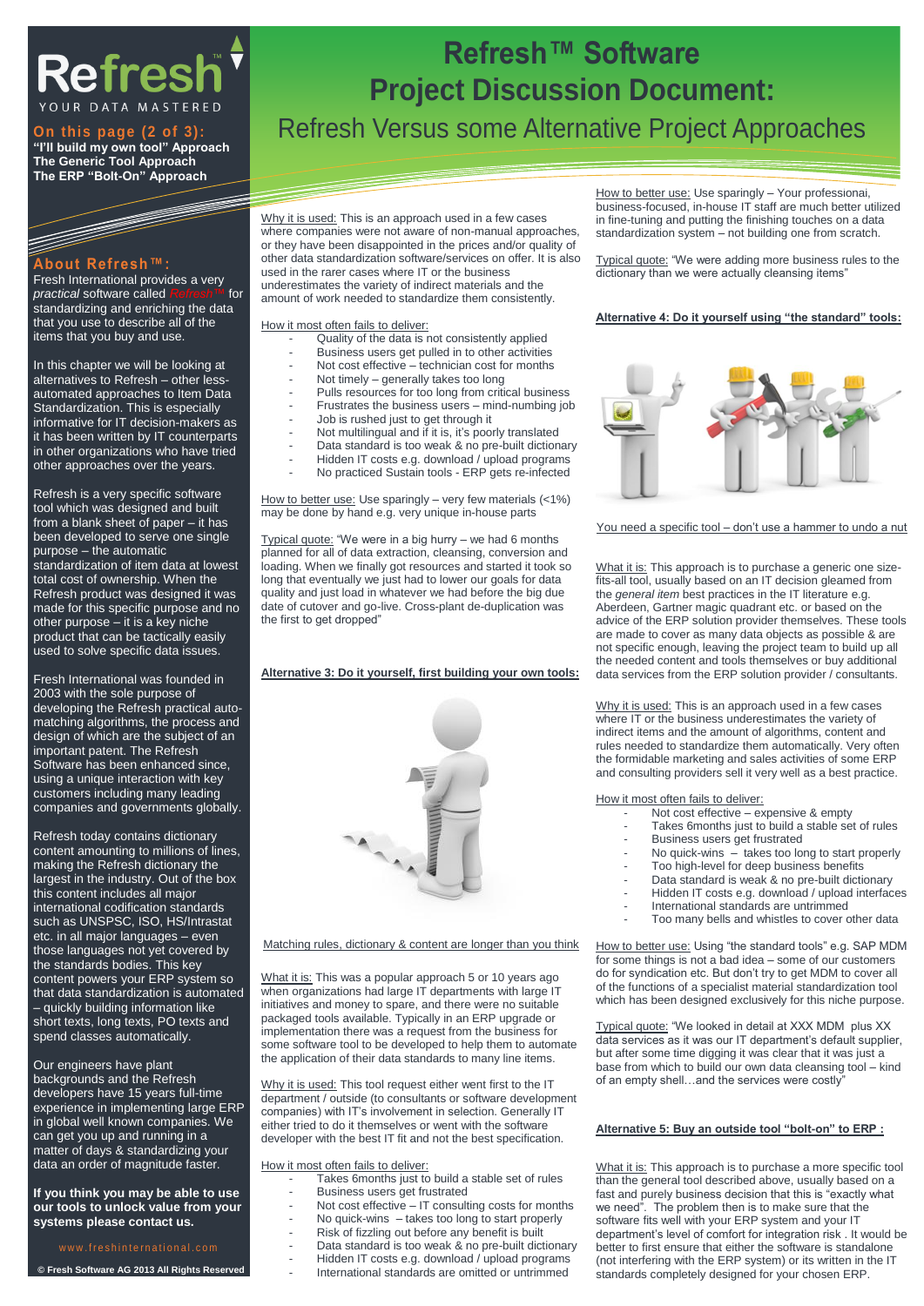## **Refrest** YOUR DATA MASTERED

## **"I'll build my own tool" Approach The Generic Tool Approach The ERP "Bolt-On" Approach**

### **About Refresh™:**

Fresh International provides a very *practical* software called *Refresh™* for standardizing and enriching the data that you use to describe all of the items that you buy and use.

In this chapter we will be looking at alternatives to Refresh – other lessautomated approaches to Item Data Standardization. This is especially informative for IT decision-makers as it has been written by IT counterparts in other organizations who have tried other approaches over the years.

Refresh is a very specific software tool which was designed and built from a blank sheet of paper – it has been developed to serve one single purpose – the automatic standardization of item data at lowest total cost of ownership. When the Refresh product was designed it was made for this specific purpose and no other purpose – it is a key niche product that can be tactically easily used to solve specific data issues.

Fresh International was founded in 2003 with the sole purpose of developing the Refresh practical automatching algorithms, the process and design of which are the subject of an important patent. The Refresh Software has been enhanced since, using a unique interaction with key customers including many leading companies and governments globally.

Refresh today contains dictionary content amounting to millions of lines, making the Refresh dictionary the largest in the industry. Out of the box this content includes all major international codification standards such as UNSPSC, ISO, HS/Intrastat etc. in all major languages – even those languages not yet covered by the standards bodies. This key content powers your ERP system so that data standardization is automated – quickly building information like short texts, long texts, PO texts and spend classes automatically.

Our engineers have plant

backgrounds and the Refresh developers have 15 years full-time experience in implementing large ERP in global well known companies. We can get you up and running in a matter of days & standardizing your data an order of magnitude faster.

#### **If you think you may be able to use our tools to unlock value from your systems please contact us.**

#### w w w . freshinternational.com

**© Fresh Software AG 2013 All Rights Reserved**

## **Refresh™ Software Project Discussion Document: Refresh Versus some Alternative Project Approaches**

Why it is used: This is an approach used in a few cases where companies were not aware of non-manual approaches. or they have been disappointed in the prices and/or quality of other data standardization software/services on offer. It is also used in the rarer cases where IT or the business underestimates the variety of indirect materials and the amount of work needed to standardize them consistently.

How it most often fails to deliver:

- Quality of the data is not consistently applied
- Business users get pulled in to other activities
- Not cost effective technician cost for months
- Not timely generally takes too long
- Pulls resources for too long from critical business
- Frustrates the business users mind-numbing job
- Job is rushed just to get through it
- Not multilingual and if it is, it's poorly translated
- Data standard is too weak & no pre-built dictionary
- Hidden IT costs e.g. download / upload programs
- No practiced Sustain tools ERP gets re-infected

How to better use: Use sparingly - very few materials (<1%) may be done by hand e.g. very unique in-house parts

Typical quote: "We were in a big hurry – we had 6 months planned for all of data extraction, cleansing, conversion and loading. When we finally got resources and started it took so long that eventually we just had to lower our goals for data quality and just load in whatever we had before the big due date of cutover and go-live. Cross-plant de-duplication was the first to get dropped"

#### **Alternative 3: Do it yourself, first building your own tools:**



Matching rules, dictionary & content are longer than you think

What it is: This was a popular approach 5 or 10 years ago when organizations had large IT departments with large IT initiatives and money to spare, and there were no suitable packaged tools available. Typically in an ERP upgrade or implementation there was a request from the business for some software tool to be developed to help them to automate the application of their data standards to many line items.

Why it is used: This tool request either went first to the IT department / outside (to consultants or software development companies) with IT's involvement in selection. Generally IT either tried to do it themselves or went with the software developer with the best IT fit and not the best specification.

How it most often fails to deliver:

- Takes 6months just to build a stable set of rules
	- Business users get frustrated
	- Not cost effective  $-$  IT consulting costs for months
	- No quick-wins  $-$  takes too long to start properly
	- Risk of fizzling out before any benefit is built
- Data standard is too weak & no pre-built dictionary
	- Hidden IT costs e.g. download / upload programs
	- International standards are omitted or untrimmed

How to better use: Use sparingly - Your professional, business-focused, in-house IT staff are much better utilized in fine-tuning and putting the finishing touches on a data standardization system – not building one from scratch.

Typical quote: "We were adding more business rules to the dictionary than we were actually cleansing items"

#### **Alternative 4: Do it yourself using "the standard" tools:**



You need a specific tool – don't use a hammer to undo a nut

What it is: This approach is to purchase a generic one sizefits-all tool, usually based on an IT decision gleamed from the *general item* best practices in the IT literature e.g. Aberdeen, Gartner magic quadrant etc. or based on the advice of the ERP solution provider themselves. These tools are made to cover as many data objects as possible & are not specific enough, leaving the project team to build up all the needed content and tools themselves or buy additional data services from the ERP solution provider / consultants.

Why it is used: This is an approach used in a few cases where IT or the business underestimates the variety of indirect items and the amount of algorithms, content and rules needed to standardize them automatically. Very often the formidable marketing and sales activities of some ERP and consulting providers sell it very well as a best practice.

How it most often fails to deliver:

- Not cost effective expensive & empty
	- Takes 6months just to build a stable set of rules
- Business users get frustrated
- No quick-wins  $-$  takes too long to start properly
- Too high-level for deep business benefits
- Data standard is weak & no pre-built dictionary
- Hidden IT costs e.g. download / upload interfaces
- International standards are untrimmed
- Too many bells and whistles to cover other data

How to better use: Using "the standard tools" e.g. SAP MDM for some things is not a bad idea – some of our customers do for syndication etc. But don't try to get MDM to cover all of the functions of a specialist material standardization tool which has been designed exclusively for this niche purpose.

Typical quote: "We looked in detail at XXX MDM plus XX data services as it was our IT department's default supplier, but after some time digging it was clear that it was just a base from which to build our own data cleansing tool – kind of an empty shell...and the services were costly

#### **Alternative 5: Buy an outside tool "bolt-on" to ERP :**

What it is: This approach is to purchase a more specific tool than the general tool described above, usually based on a fast and purely business decision that this is "exactly what we need". The problem then is to make sure that the software fits well with your ERP system and your IT department's level of comfort for integration risk . It would be better to first ensure that either the software is standalone (not interfering with the ERP system) or its written in the IT standards completely designed for your chosen ERP.